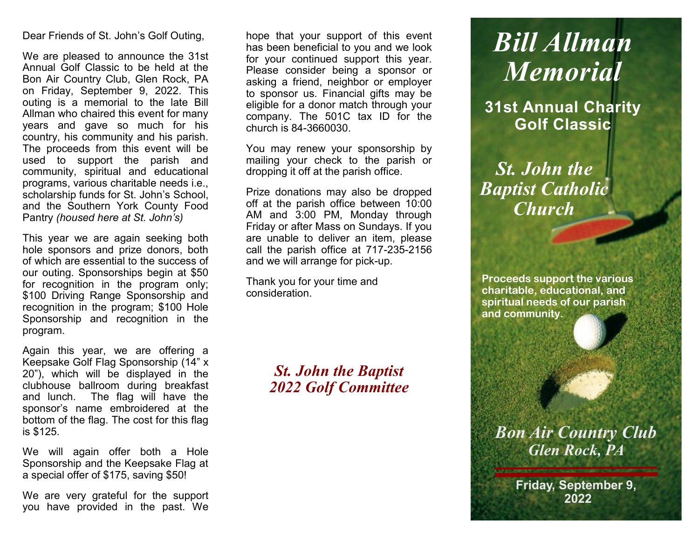Dear Friends of St. John's Golf Outing,

We are pleased to announce the 31st Annual Golf Classic to be held at the Bon Air Country Club, Glen Rock, PA on Friday, September 9, 2022. This outing is a memorial to the late Bill Allman who chaired this event for many years and gave so much for his country, his community and his parish. The proceeds from this event will be used to support the parish and community, spiritual and educational programs, various charitable needs i.e., scholarship funds for St. John's School, and the Southern York County Food Pantry *(housed here at St. John's)* 

This year we are again seeking both hole sponsors and prize donors, both of which are essential to the success of our outing. Sponsorships begin at \$50 for recognition in the program only; \$100 Driving Range Sponsorship and recognition in the program; \$100 Hole Sponsorship and recognition in the program.

Again this year, we are offering a Keepsake Golf Flag Sponsorship (14" x 20"), which will be displayed in the clubhouse ballroom during breakfast and lunch. The flag will have the sponsor's name embroidered at the bottom of the flag. The cost for this flag is \$125.

We will again offer both a Hole Sponsorship and the Keepsake Flag at a special offer of \$175, saving \$50!

We are very grateful for the support you have provided in the past. We

hope that your support of this event has been beneficial to you and we look for your continued support this year. Please consider being a sponsor or asking a friend, neighbor or employer to sponsor us. Financial gifts may be eligible for a donor match through your company. The 501C tax ID for the church is 84-3660030.

You may renew your sponsorship by mailing your check to the parish or dropping it off at the parish office.

Prize donations may also be dropped off at the parish office between 10:00 AM and 3:00 PM, Monday through Friday or after Mass on Sundays. If you are unable to deliver an item, please call the parish office at 717-235-2156 and we will arrange for pick-up.

Thank you for your time and consideration.

> *St. John the Baptist 2022 Golf Committee*

## *Bill Allman Memorial*

**31st Annual Charity Golf Classic**

*St. John the Baptist Catholic Church*

**Proceeds support the various charitable, educational, and spiritual needs of our parish and community.** 

*Bon Air Country Club Glen Rock, PA*

> **Friday, September 9, 2022**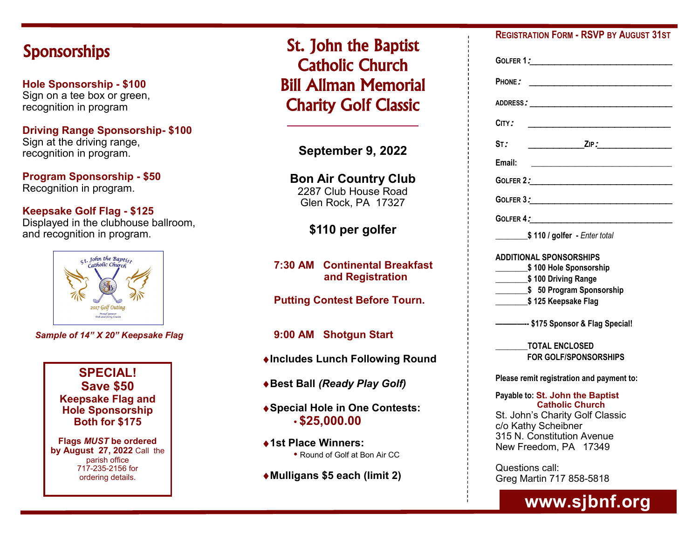### **Sponsorships**

**Hole Sponsorship - \$100** Sign on a tee box or green, recognition in program

**Driving Range Sponsorship- \$100** Sign at the driving range, recognition in program.

**Program Sponsorship - \$50** Recognition in program.

#### **Keepsake Golf Flag - \$125**

Displayed in the clubhouse ballroom, and recognition in program.



*Sample of 14" X 20" Keepsake Flag*

#### **SPECIAL! Save \$50 Keepsake Flag and Hole Sponsorship Both for \$175**

**Flags** *MUST* **be ordered by August 27, 2022** Call the parish office 717-235-2156 for ordering details.

St. John the Baptist Catholic Church Bill Allman Memorial Charity Golf Classic

**September 9, 2022**

 $\overline{a}$ 

#### **Bon Air Country Club**

2287 Club House Road Glen Rock, PA 17327

#### **\$110 per golfer**

#### **7:30 AM Continental Breakfast and Registration**

 **Putting Contest Before Tourn.**

- **9:00 AM Shotgun Start**
- **Includes Lunch Following Round**
- **Best Ball** *(Ready Play Golf)*
- **Special Hole in One Contests: • \$25,000.00**
- **1st Place Winners: •** Round of Golf at Bon Air CC
- **Mulligans \$5 each (limit 2)**

#### **REGISTRATION FORM - RSVP BY AUGUST 31ST**

|                 | GOLFER 1 <i>:</i> _____________________________                                                                                                                                                                                        |
|-----------------|----------------------------------------------------------------------------------------------------------------------------------------------------------------------------------------------------------------------------------------|
| <b>PHONE:</b>   | <u> 1980 - Johann Barbara, martxa amerikan per</u>                                                                                                                                                                                     |
|                 | ADDRESS <i>:</i> ___________________________________                                                                                                                                                                                   |
| CITY:           | <u> 1980 - Andrea Albert III, martin a bh</u>                                                                                                                                                                                          |
| $ST$ :          | $ZIP:$ $\Box$                                                                                                                                                                                                                          |
| Email:          |                                                                                                                                                                                                                                        |
|                 | GOLFER 2: Annual Solitics of the Solition of the Solition of the Solition of the Solition of the Solition of the Solition of the Solition of the Solition of the Solition of the Solition of the Solition of the Solition of t         |
|                 | GOLFER 3:                                                                                                                                                                                                                              |
|                 | GOLFER 4:                                                                                                                                                                                                                              |
|                 | \$110 / golfer - Enter total                                                                                                                                                                                                           |
|                 | <b>ADDITIONAL SPONSORSHIPS</b><br>\$100 Hole Sponsorship<br>__\$100 Driving Range<br>50 Program Sponsorship<br>\$125 Keepsake Flag<br>--------- \$175 Sponsor & Flag Special!<br><b>TOTAL ENCLOSED</b><br><b>FOR GOLF/SPONSORSHIPS</b> |
|                 | Please remit registration and payment to:                                                                                                                                                                                              |
|                 | Payable to: St. John the Baptist<br><b>Catholic Church</b><br>St. John's Charity Golf Classic<br>c/o Kathy Scheibner<br>315 N. Constitution Avenue<br>New Freedom, PA 17349                                                            |
| Questions call: | Greg Martin 717 858-5818                                                                                                                                                                                                               |
|                 | www.sibnf.org                                                                                                                                                                                                                          |